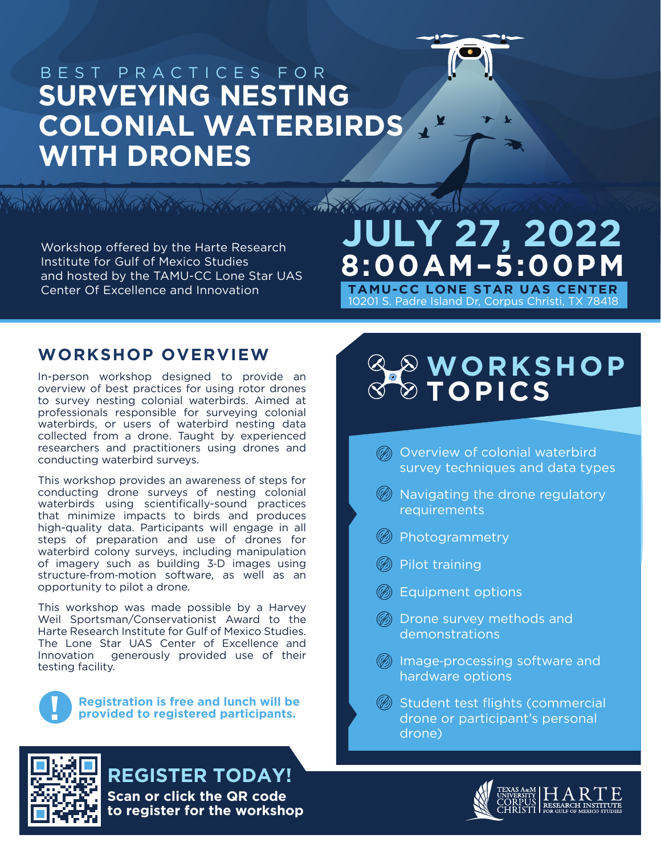

Y

## BEST PRACTICES FOR **SURVEYING NESTING COLONIAL WATERBIRDS WITH DRONES**

Workshop offered by the Harte Research Institute for Gulf of Mexico Studies and hosted by the TAMU-CC Lone Star UAS Center Of Excellence and Innovation

# **STANDARD TANK THE STANDARD STANDARD STANDARD STANDARD TANK THE STANDARD STANDARD STANDARD STANDARD STANDARD STANDARD STANDARD STANDARD STANDARD STANDARD STANDARD STANDARD STANDARD STANDARD STANDARD STANDARD STANDARD STAND JULY 27, 2022 8:00AM–5:00PM**

10201 S. Padre Island Dr, Corpus Christi, TX 78418 **TAMU-CC LONE STAR UAS CENTER**

#### **WORKSHOP OVERVIEW**

In-person workshop designed to provide an overview of best practices for using rotor drones to survey nesting colonial waterbirds. Aimed at professionals responsible for surveying colonial waterbirds, or users of waterbird nesting data collected from a drone. Taught by experienced researchers and practitioners using drones and conducting waterbird surveys.

This workshop provides an awareness of steps for conducting drone surveys of nesting colonial waterbirds using scientifically-sound practices that minimize impacts to birds and produces high-quality data. Participants will engage in all steps of preparation and use of drones for waterbird colony surveys, including manipulation of imagery such as building 3‐D images using structure-from-motion software, as well as an opportunity to pilot a drone.

This workshop was made possible by a Harvey Weil Sportsman/Conservationist Award to the Harte Research Institute for Gulf of Mexico Studies. The Lone Star UAS Center of Excellence and Innovation generously provided use of their testing facility.



**Registration is free and lunch will be ! provided to registered participants.** 

#### **REGISTER TODAY! Scan or click the QR code to register for the workshop**

## **WORKSHOP TOPICS**

- **6** Overview of colonial waterbird survey techniques and data types
- $\circledast$  Navigating the drone regulatory requirements
- Photogrammetry
- Pilot training
- **(6)** Equipment options
- Drone survey methods and demonstrations
- Image‐processing software and hardware options
- **B** Student test flights (commercial drone or participant's personal drone)